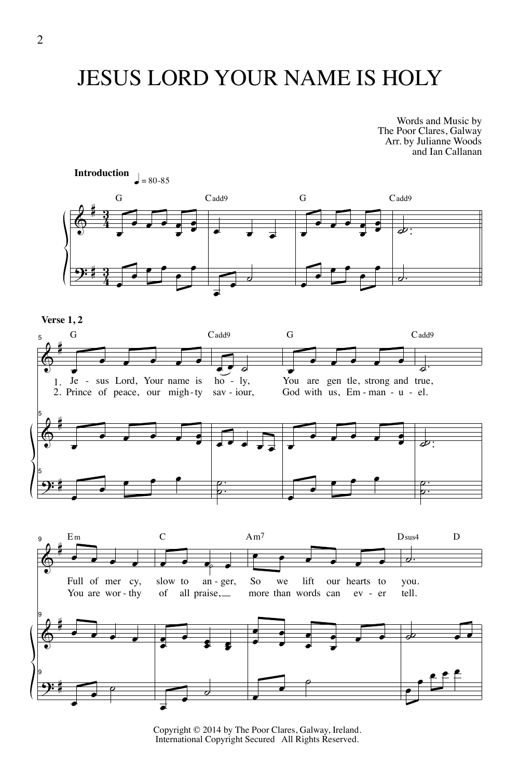## JESUS LORD YOUR NAME IS HOLY

Words and Music by The Poor Clares, Galway Arr. by Julianne Woods and Ian Callanan



Copyright © 2014 by The Poor Clares, Galway, Ireland. International Copyright Secured All Rights Reserved.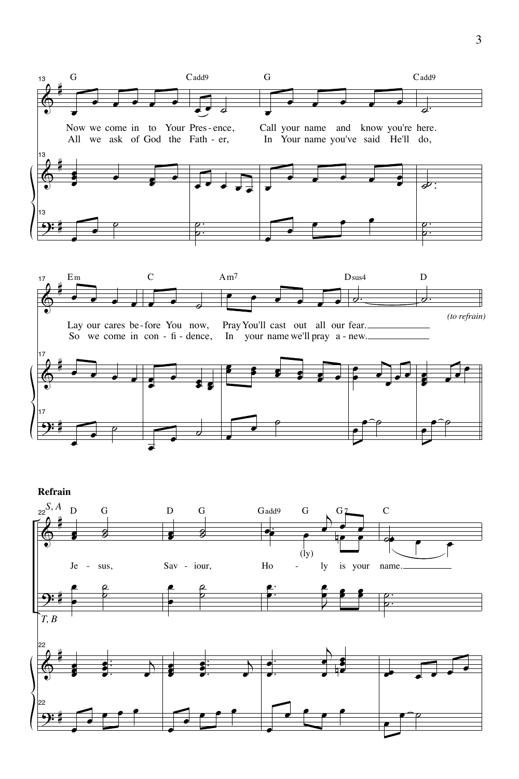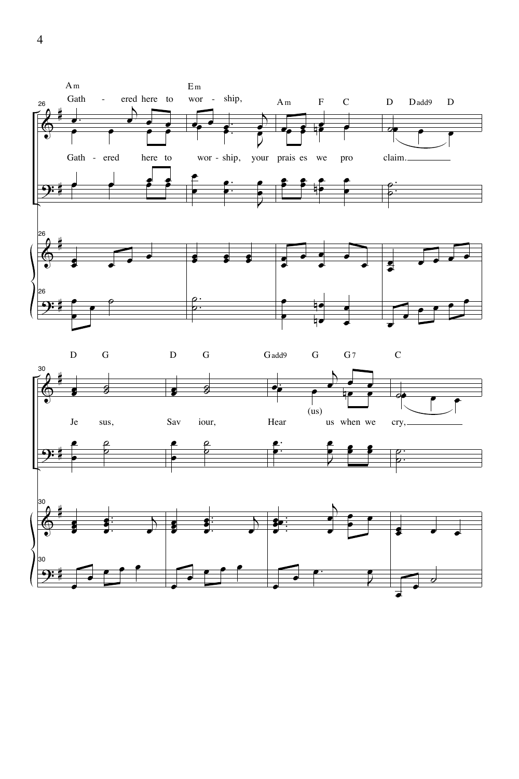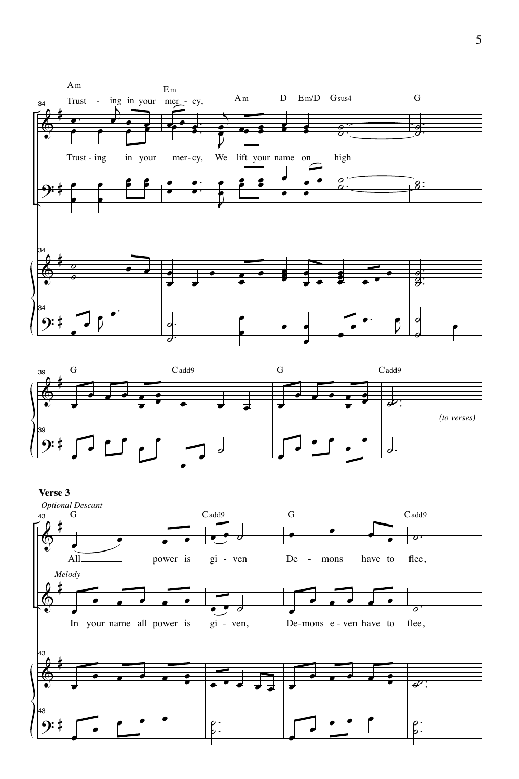



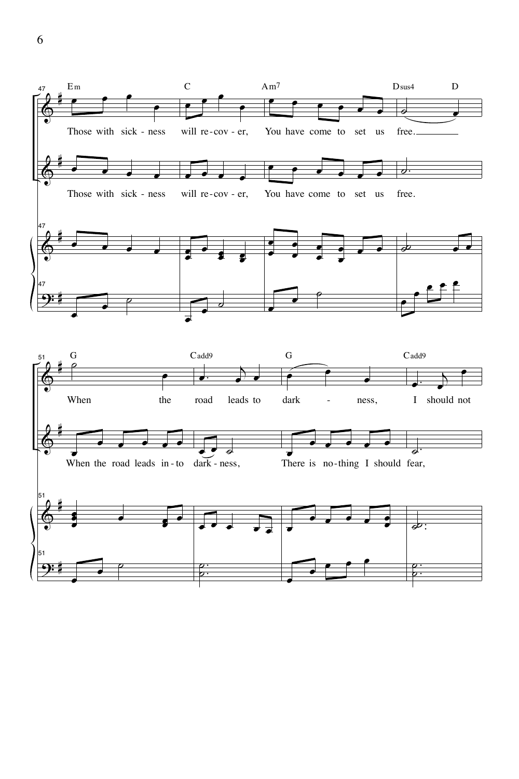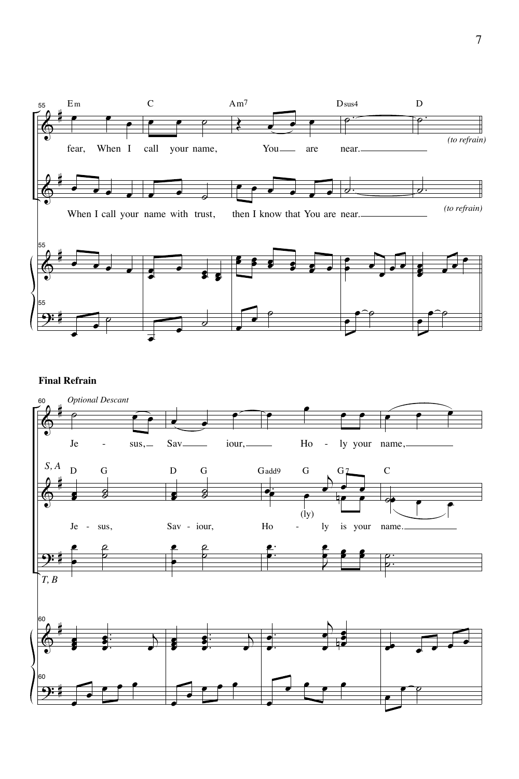

## **Final Refrain**

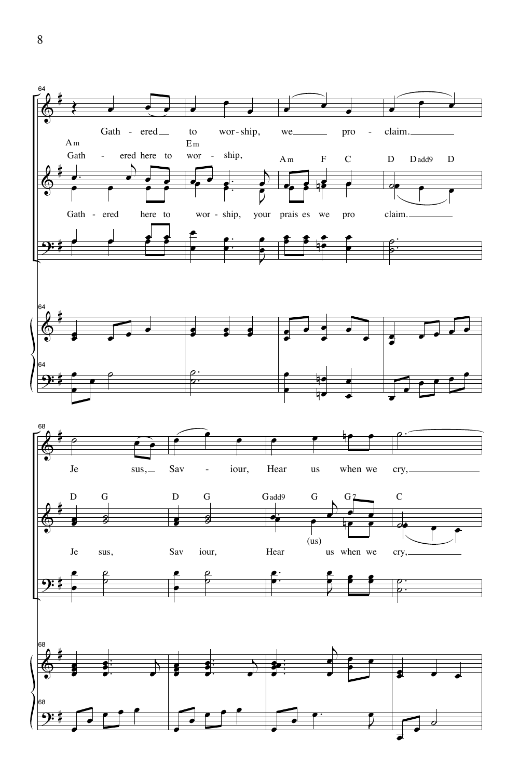